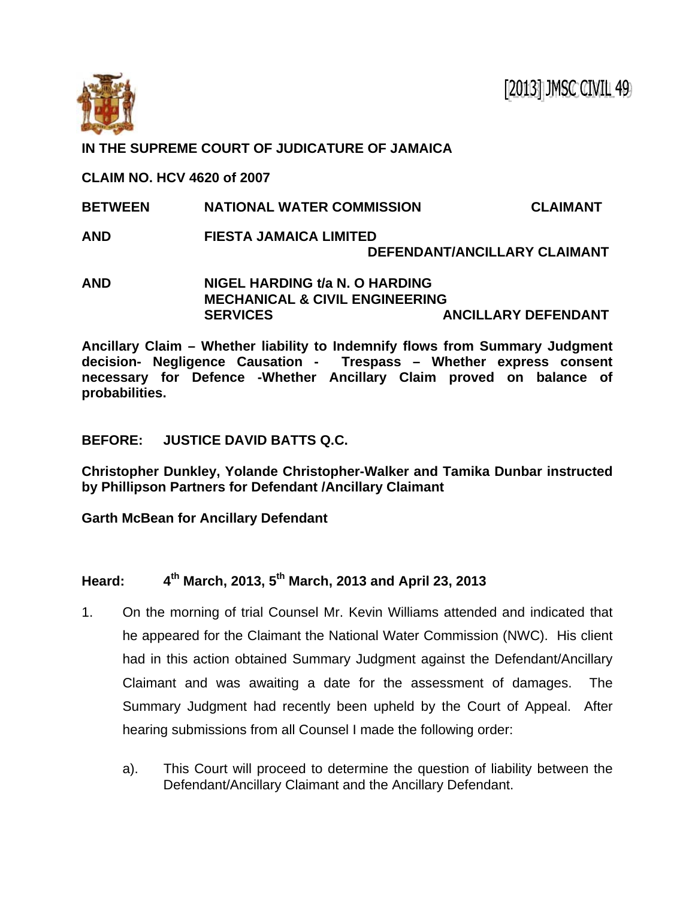

## **IN THE SUPREME COURT OF JUDICATURE OF JAMAICA**

**CLAIM NO. HCV 4620 of 2007** 

- **BETWEEN NATIONAL WATER COMMISSION CLAIMANT**
- **AND FIESTA JAMAICA LIMITED DEFENDANT/ANCILLARY CLAIMANT**
- **AND NIGEL HARDING t/a N. O HARDING MECHANICAL & CIVIL ENGINEERING SERVICES ANCILLARY DEFENDANT**

**Ancillary Claim – Whether liability to Indemnify flows from Summary Judgment decision- Negligence Causation - Trespass – Whether express consent necessary for Defence -Whether Ancillary Claim proved on balance of probabilities.** 

## **BEFORE: JUSTICE DAVID BATTS Q.C.**

**Christopher Dunkley, Yolande Christopher-Walker and Tamika Dunbar instructed by Phillipson Partners for Defendant /Ancillary Claimant** 

**Garth McBean for Ancillary Defendant** 

## **Heard: 4th March, 2013, 5th March, 2013 and April 23, 2013**

- 1. On the morning of trial Counsel Mr. Kevin Williams attended and indicated that he appeared for the Claimant the National Water Commission (NWC). His client had in this action obtained Summary Judgment against the Defendant/Ancillary Claimant and was awaiting a date for the assessment of damages. The Summary Judgment had recently been upheld by the Court of Appeal. After hearing submissions from all Counsel I made the following order:
	- a). This Court will proceed to determine the question of liability between the Defendant/Ancillary Claimant and the Ancillary Defendant.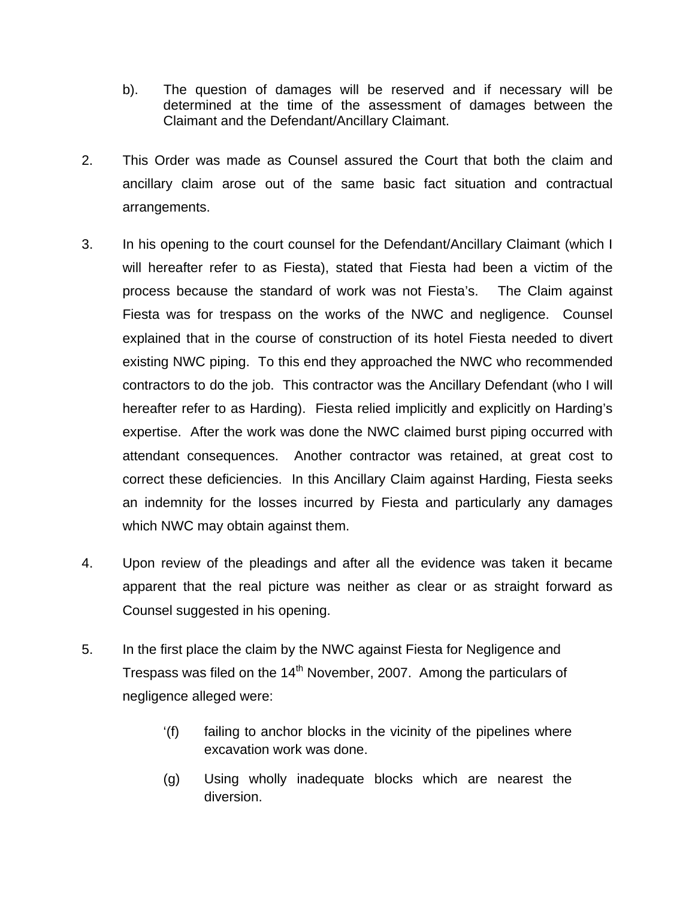- b). The question of damages will be reserved and if necessary will be determined at the time of the assessment of damages between the Claimant and the Defendant/Ancillary Claimant.
- 2. This Order was made as Counsel assured the Court that both the claim and ancillary claim arose out of the same basic fact situation and contractual arrangements.
- 3. In his opening to the court counsel for the Defendant/Ancillary Claimant (which I will hereafter refer to as Fiesta), stated that Fiesta had been a victim of the process because the standard of work was not Fiesta's. The Claim against Fiesta was for trespass on the works of the NWC and negligence. Counsel explained that in the course of construction of its hotel Fiesta needed to divert existing NWC piping. To this end they approached the NWC who recommended contractors to do the job. This contractor was the Ancillary Defendant (who I will hereafter refer to as Harding). Fiesta relied implicitly and explicitly on Harding's expertise. After the work was done the NWC claimed burst piping occurred with attendant consequences. Another contractor was retained, at great cost to correct these deficiencies. In this Ancillary Claim against Harding, Fiesta seeks an indemnity for the losses incurred by Fiesta and particularly any damages which NWC may obtain against them.
- 4. Upon review of the pleadings and after all the evidence was taken it became apparent that the real picture was neither as clear or as straight forward as Counsel suggested in his opening.
- 5. In the first place the claim by the NWC against Fiesta for Negligence and Trespass was filed on the  $14<sup>th</sup>$  November, 2007. Among the particulars of negligence alleged were:
	- '(f) failing to anchor blocks in the vicinity of the pipelines where excavation work was done.
	- (g) Using wholly inadequate blocks which are nearest the diversion.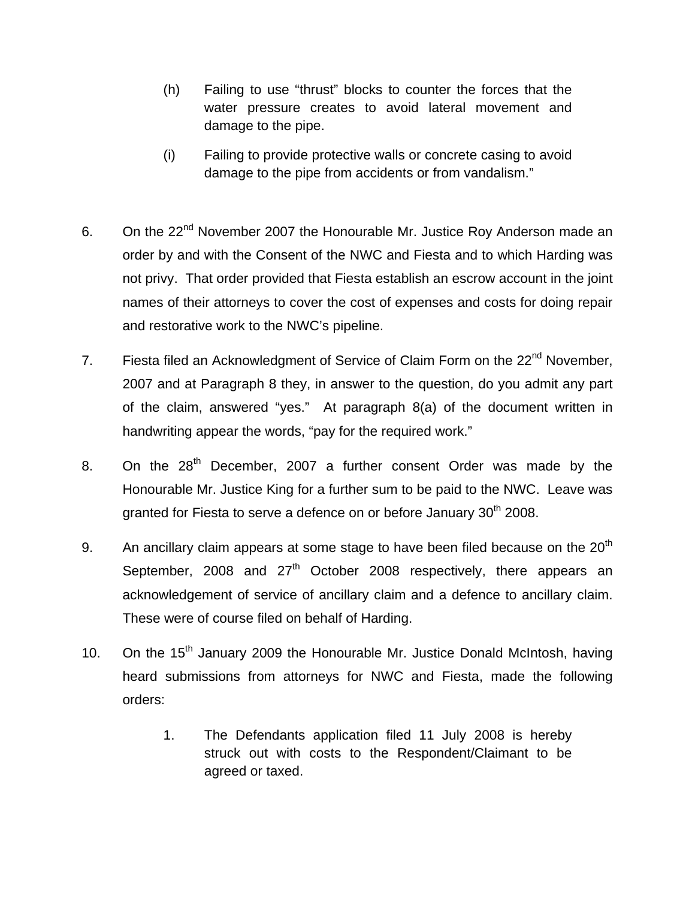- (h) Failing to use "thrust" blocks to counter the forces that the water pressure creates to avoid lateral movement and damage to the pipe.
- (i) Failing to provide protective walls or concrete casing to avoid damage to the pipe from accidents or from vandalism."
- 6. On the 22<sup>nd</sup> November 2007 the Honourable Mr. Justice Roy Anderson made an order by and with the Consent of the NWC and Fiesta and to which Harding was not privy. That order provided that Fiesta establish an escrow account in the joint names of their attorneys to cover the cost of expenses and costs for doing repair and restorative work to the NWC's pipeline.
- 7. Fiesta filed an Acknowledgment of Service of Claim Form on the 22<sup>nd</sup> November, 2007 and at Paragraph 8 they, in answer to the question, do you admit any part of the claim, answered "yes." At paragraph 8(a) of the document written in handwriting appear the words, "pay for the required work."
- 8. On the  $28<sup>th</sup>$  December, 2007 a further consent Order was made by the Honourable Mr. Justice King for a further sum to be paid to the NWC. Leave was granted for Fiesta to serve a defence on or before January 30<sup>th</sup> 2008.
- 9. An ancillary claim appears at some stage to have been filed because on the  $20<sup>th</sup>$ September, 2008 and  $27<sup>th</sup>$  October 2008 respectively, there appears an acknowledgement of service of ancillary claim and a defence to ancillary claim. These were of course filed on behalf of Harding.
- 10. On the  $15<sup>th</sup>$  January 2009 the Honourable Mr. Justice Donald McIntosh, having heard submissions from attorneys for NWC and Fiesta, made the following orders:
	- 1. The Defendants application filed 11 July 2008 is hereby struck out with costs to the Respondent/Claimant to be agreed or taxed.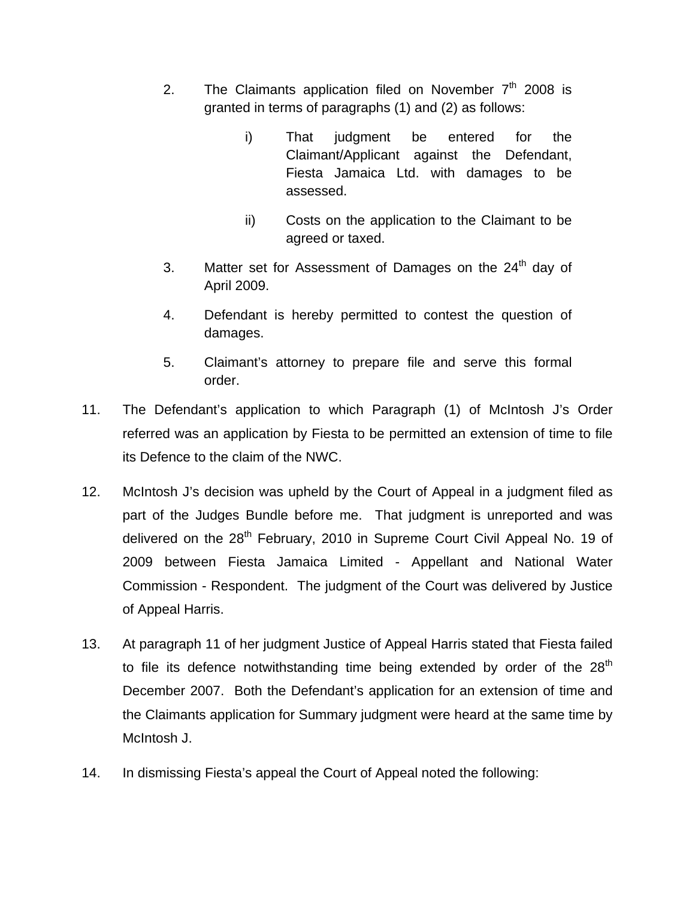- 2. The Claimants application filed on November  $7<sup>th</sup>$  2008 is granted in terms of paragraphs (1) and (2) as follows:
	- i) That judgment be entered for the Claimant/Applicant against the Defendant, Fiesta Jamaica Ltd. with damages to be assessed.
	- ii) Costs on the application to the Claimant to be agreed or taxed.
- 3. Matter set for Assessment of Damages on the  $24<sup>th</sup>$  day of April 2009.
- 4. Defendant is hereby permitted to contest the question of damages.
- 5. Claimant's attorney to prepare file and serve this formal order.
- 11. The Defendant's application to which Paragraph (1) of McIntosh J's Order referred was an application by Fiesta to be permitted an extension of time to file its Defence to the claim of the NWC.
- 12. McIntosh J's decision was upheld by the Court of Appeal in a judgment filed as part of the Judges Bundle before me. That judgment is unreported and was delivered on the 28<sup>th</sup> February, 2010 in Supreme Court Civil Appeal No. 19 of 2009 between Fiesta Jamaica Limited - Appellant and National Water Commission - Respondent. The judgment of the Court was delivered by Justice of Appeal Harris.
- 13. At paragraph 11 of her judgment Justice of Appeal Harris stated that Fiesta failed to file its defence notwithstanding time being extended by order of the  $28<sup>th</sup>$ December 2007. Both the Defendant's application for an extension of time and the Claimants application for Summary judgment were heard at the same time by McIntosh J.
- 14. In dismissing Fiesta's appeal the Court of Appeal noted the following: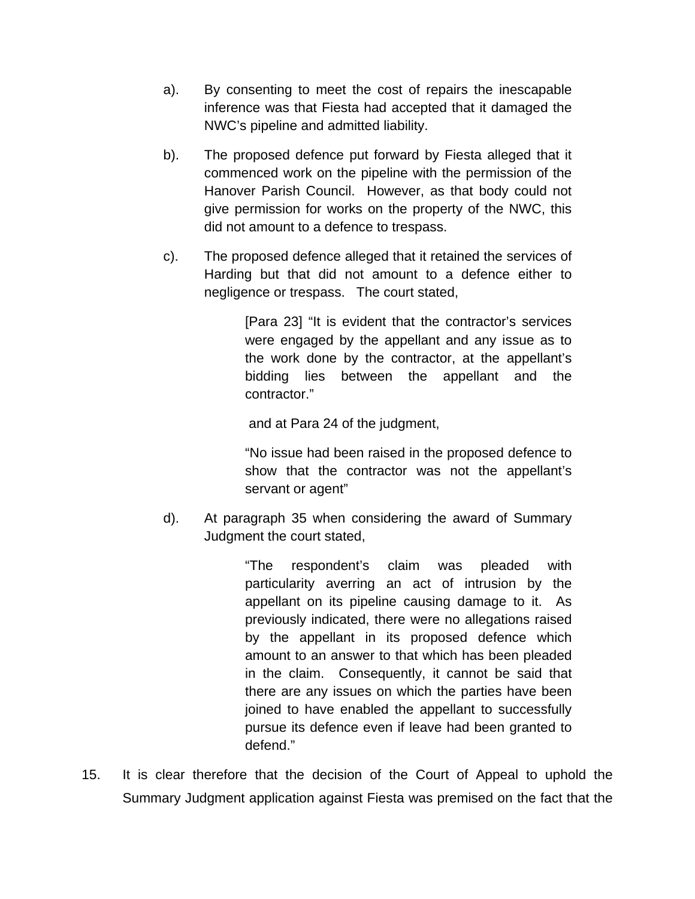- a). By consenting to meet the cost of repairs the inescapable inference was that Fiesta had accepted that it damaged the NWC's pipeline and admitted liability.
- b). The proposed defence put forward by Fiesta alleged that it commenced work on the pipeline with the permission of the Hanover Parish Council. However, as that body could not give permission for works on the property of the NWC, this did not amount to a defence to trespass.
- c). The proposed defence alleged that it retained the services of Harding but that did not amount to a defence either to negligence or trespass. The court stated,

[Para 23] "It is evident that the contractor's services were engaged by the appellant and any issue as to the work done by the contractor, at the appellant's bidding lies between the appellant and the contractor."

and at Para 24 of the judgment,

"No issue had been raised in the proposed defence to show that the contractor was not the appellant's servant or agent"

d). At paragraph 35 when considering the award of Summary Judgment the court stated,

> "The respondent's claim was pleaded with particularity averring an act of intrusion by the appellant on its pipeline causing damage to it. As previously indicated, there were no allegations raised by the appellant in its proposed defence which amount to an answer to that which has been pleaded in the claim. Consequently, it cannot be said that there are any issues on which the parties have been joined to have enabled the appellant to successfully pursue its defence even if leave had been granted to defend."

15. It is clear therefore that the decision of the Court of Appeal to uphold the Summary Judgment application against Fiesta was premised on the fact that the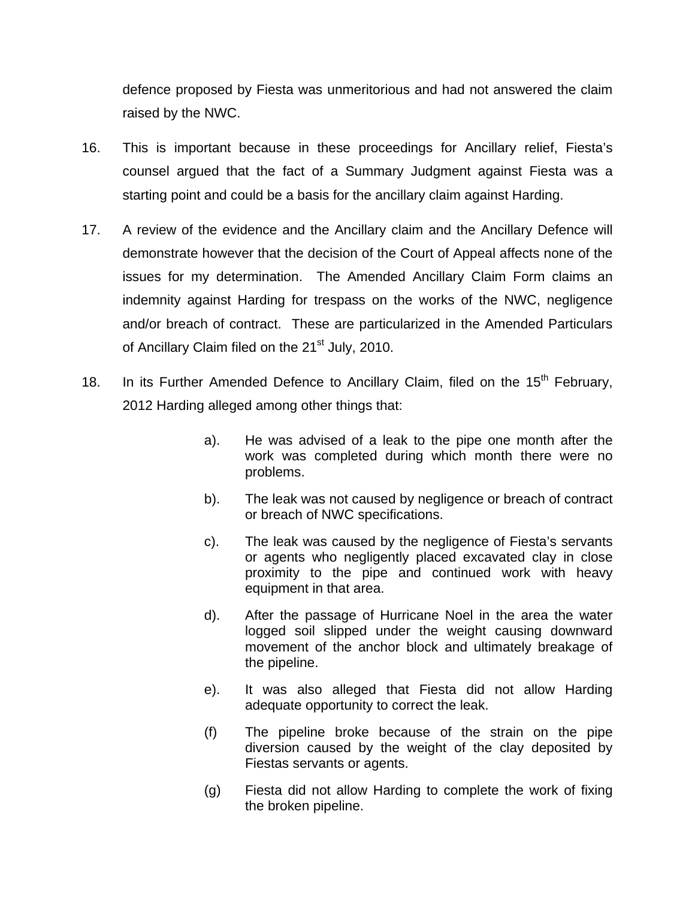defence proposed by Fiesta was unmeritorious and had not answered the claim raised by the NWC.

- 16. This is important because in these proceedings for Ancillary relief, Fiesta's counsel argued that the fact of a Summary Judgment against Fiesta was a starting point and could be a basis for the ancillary claim against Harding.
- 17. A review of the evidence and the Ancillary claim and the Ancillary Defence will demonstrate however that the decision of the Court of Appeal affects none of the issues for my determination. The Amended Ancillary Claim Form claims an indemnity against Harding for trespass on the works of the NWC, negligence and/or breach of contract. These are particularized in the Amended Particulars of Ancillary Claim filed on the 21<sup>st</sup> July, 2010.
- 18. In its Further Amended Defence to Ancillary Claim, filed on the  $15<sup>th</sup>$  February, 2012 Harding alleged among other things that:
	- a). He was advised of a leak to the pipe one month after the work was completed during which month there were no problems.
	- b). The leak was not caused by negligence or breach of contract or breach of NWC specifications.
	- c). The leak was caused by the negligence of Fiesta's servants or agents who negligently placed excavated clay in close proximity to the pipe and continued work with heavy equipment in that area.
	- d). After the passage of Hurricane Noel in the area the water logged soil slipped under the weight causing downward movement of the anchor block and ultimately breakage of the pipeline.
	- e). It was also alleged that Fiesta did not allow Harding adequate opportunity to correct the leak.
	- (f) The pipeline broke because of the strain on the pipe diversion caused by the weight of the clay deposited by Fiestas servants or agents.
	- (g) Fiesta did not allow Harding to complete the work of fixing the broken pipeline.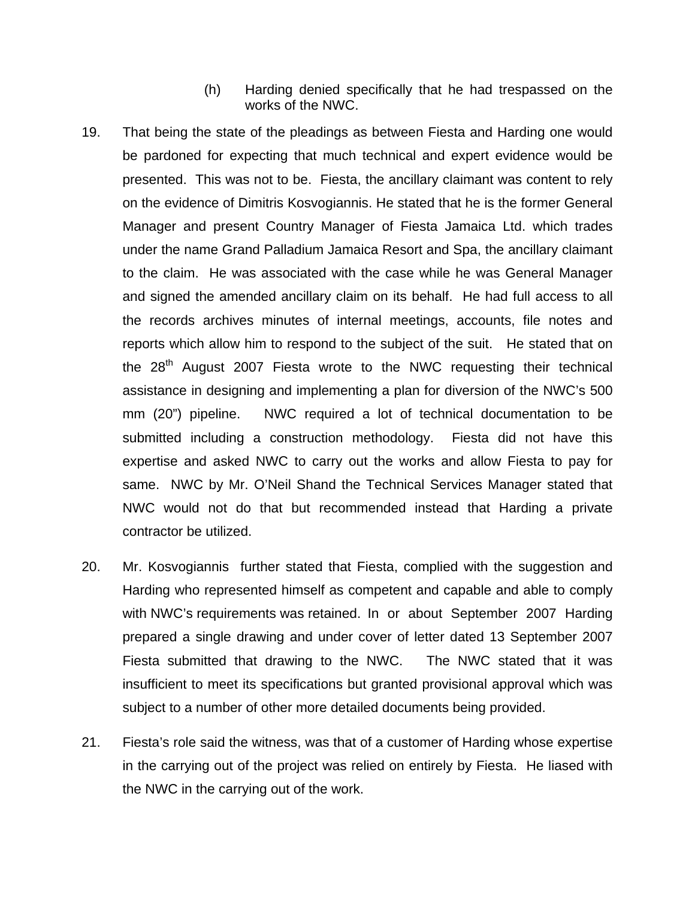- (h) Harding denied specifically that he had trespassed on the works of the NWC.
- 19. That being the state of the pleadings as between Fiesta and Harding one would be pardoned for expecting that much technical and expert evidence would be presented. This was not to be. Fiesta, the ancillary claimant was content to rely on the evidence of Dimitris Kosvogiannis. He stated that he is the former General Manager and present Country Manager of Fiesta Jamaica Ltd. which trades under the name Grand Palladium Jamaica Resort and Spa, the ancillary claimant to the claim. He was associated with the case while he was General Manager and signed the amended ancillary claim on its behalf. He had full access to all the records archives minutes of internal meetings, accounts, file notes and reports which allow him to respond to the subject of the suit. He stated that on the  $28<sup>th</sup>$  August 2007 Fiesta wrote to the NWC requesting their technical assistance in designing and implementing a plan for diversion of the NWC's 500 mm (20") pipeline. NWC required a lot of technical documentation to be submitted including a construction methodology. Fiesta did not have this expertise and asked NWC to carry out the works and allow Fiesta to pay for same. NWC by Mr. O'Neil Shand the Technical Services Manager stated that NWC would not do that but recommended instead that Harding a private contractor be utilized.
- 20. Mr. Kosvogiannis further stated that Fiesta, complied with the suggestion and Harding who represented himself as competent and capable and able to comply with NWC's requirements was retained. In or about September 2007 Harding prepared a single drawing and under cover of letter dated 13 September 2007 Fiesta submitted that drawing to the NWC. The NWC stated that it was insufficient to meet its specifications but granted provisional approval which was subject to a number of other more detailed documents being provided.
- 21. Fiesta's role said the witness, was that of a customer of Harding whose expertise in the carrying out of the project was relied on entirely by Fiesta. He liased with the NWC in the carrying out of the work.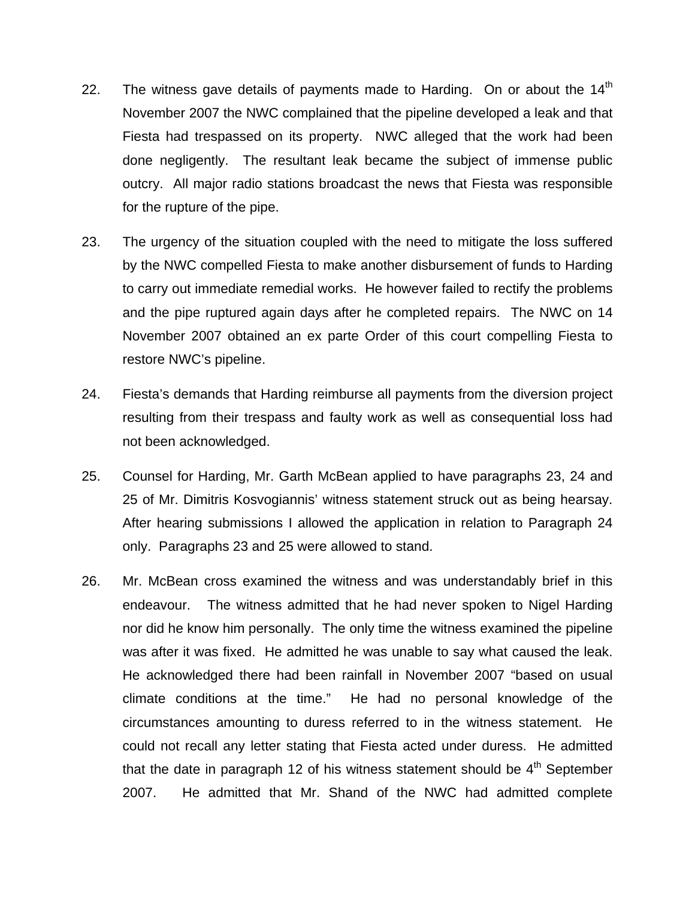- 22. The witness gave details of payments made to Harding. On or about the  $14<sup>th</sup>$ November 2007 the NWC complained that the pipeline developed a leak and that Fiesta had trespassed on its property. NWC alleged that the work had been done negligently. The resultant leak became the subject of immense public outcry. All major radio stations broadcast the news that Fiesta was responsible for the rupture of the pipe.
- 23. The urgency of the situation coupled with the need to mitigate the loss suffered by the NWC compelled Fiesta to make another disbursement of funds to Harding to carry out immediate remedial works. He however failed to rectify the problems and the pipe ruptured again days after he completed repairs. The NWC on 14 November 2007 obtained an ex parte Order of this court compelling Fiesta to restore NWC's pipeline.
- 24. Fiesta's demands that Harding reimburse all payments from the diversion project resulting from their trespass and faulty work as well as consequential loss had not been acknowledged.
- 25. Counsel for Harding, Mr. Garth McBean applied to have paragraphs 23, 24 and 25 of Mr. Dimitris Kosvogiannis' witness statement struck out as being hearsay. After hearing submissions I allowed the application in relation to Paragraph 24 only. Paragraphs 23 and 25 were allowed to stand.
- 26. Mr. McBean cross examined the witness and was understandably brief in this endeavour. The witness admitted that he had never spoken to Nigel Harding nor did he know him personally. The only time the witness examined the pipeline was after it was fixed. He admitted he was unable to say what caused the leak. He acknowledged there had been rainfall in November 2007 "based on usual climate conditions at the time." He had no personal knowledge of the circumstances amounting to duress referred to in the witness statement. He could not recall any letter stating that Fiesta acted under duress. He admitted that the date in paragraph 12 of his witness statement should be  $4<sup>th</sup>$  September 2007. He admitted that Mr. Shand of the NWC had admitted complete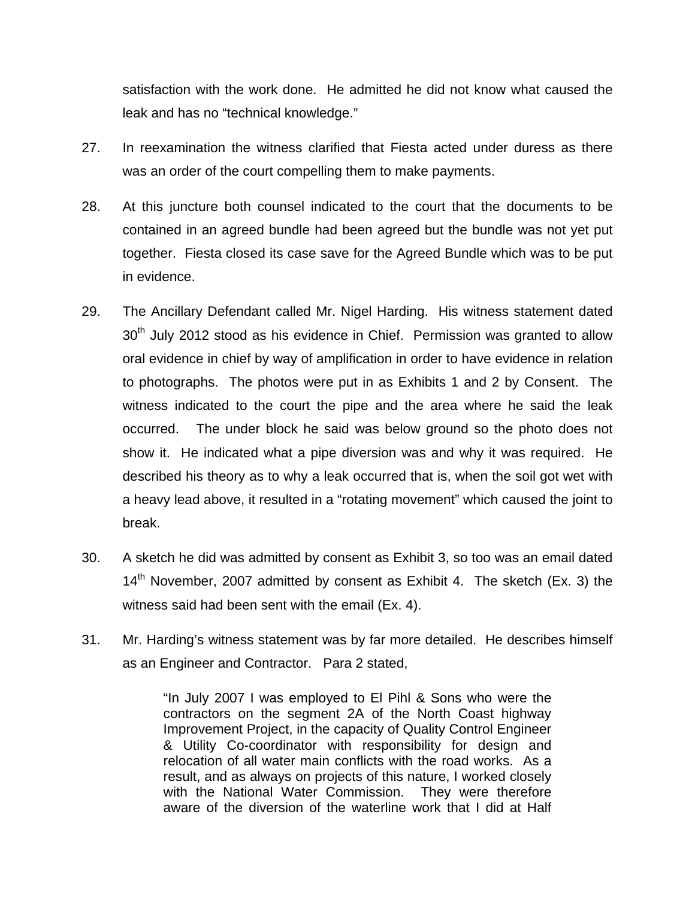satisfaction with the work done. He admitted he did not know what caused the leak and has no "technical knowledge."

- 27. In reexamination the witness clarified that Fiesta acted under duress as there was an order of the court compelling them to make payments.
- 28. At this juncture both counsel indicated to the court that the documents to be contained in an agreed bundle had been agreed but the bundle was not yet put together. Fiesta closed its case save for the Agreed Bundle which was to be put in evidence.
- 29. The Ancillary Defendant called Mr. Nigel Harding. His witness statement dated 30<sup>th</sup> July 2012 stood as his evidence in Chief. Permission was granted to allow oral evidence in chief by way of amplification in order to have evidence in relation to photographs. The photos were put in as Exhibits 1 and 2 by Consent. The witness indicated to the court the pipe and the area where he said the leak occurred. The under block he said was below ground so the photo does not show it. He indicated what a pipe diversion was and why it was required. He described his theory as to why a leak occurred that is, when the soil got wet with a heavy lead above, it resulted in a "rotating movement" which caused the joint to break.
- 30. A sketch he did was admitted by consent as Exhibit 3, so too was an email dated  $14<sup>th</sup>$  November, 2007 admitted by consent as Exhibit 4. The sketch (Ex. 3) the witness said had been sent with the email (Ex. 4).
- 31. Mr. Harding's witness statement was by far more detailed. He describes himself as an Engineer and Contractor. Para 2 stated,

"In July 2007 I was employed to El Pihl & Sons who were the contractors on the segment 2A of the North Coast highway Improvement Project, in the capacity of Quality Control Engineer & Utility Co-coordinator with responsibility for design and relocation of all water main conflicts with the road works. As a result, and as always on projects of this nature, I worked closely with the National Water Commission. They were therefore aware of the diversion of the waterline work that I did at Half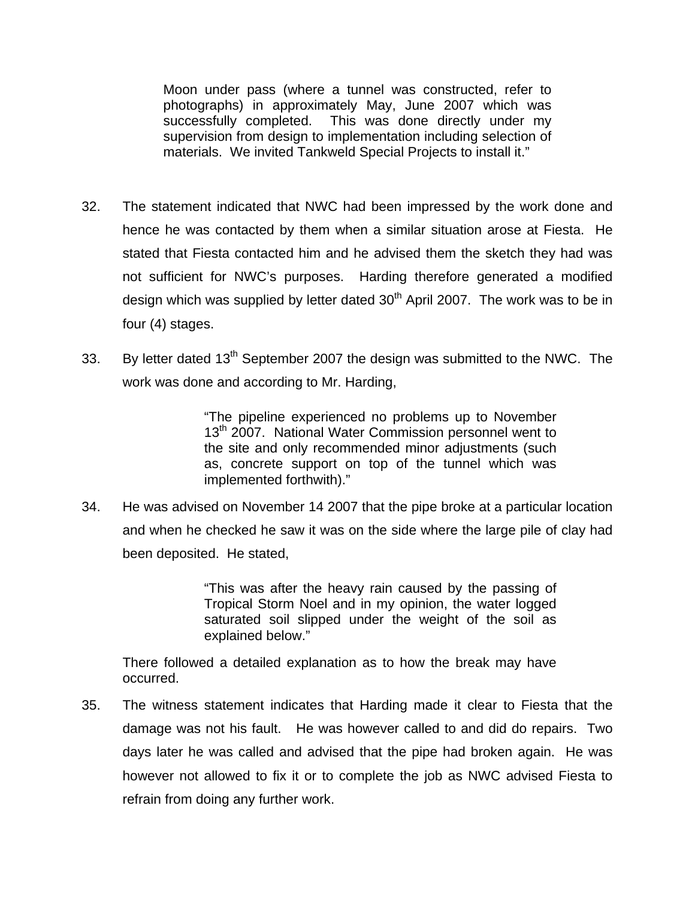Moon under pass (where a tunnel was constructed, refer to photographs) in approximately May, June 2007 which was successfully completed. This was done directly under my supervision from design to implementation including selection of materials. We invited Tankweld Special Projects to install it."

- 32. The statement indicated that NWC had been impressed by the work done and hence he was contacted by them when a similar situation arose at Fiesta. He stated that Fiesta contacted him and he advised them the sketch they had was not sufficient for NWC's purposes. Harding therefore generated a modified design which was supplied by letter dated  $30<sup>th</sup>$  April 2007. The work was to be in four (4) stages.
- 33. By letter dated  $13<sup>th</sup>$  September 2007 the design was submitted to the NWC. The work was done and according to Mr. Harding,

"The pipeline experienced no problems up to November 13<sup>th</sup> 2007. National Water Commission personnel went to the site and only recommended minor adjustments (such as, concrete support on top of the tunnel which was implemented forthwith)."

34. He was advised on November 14 2007 that the pipe broke at a particular location and when he checked he saw it was on the side where the large pile of clay had been deposited. He stated,

> "This was after the heavy rain caused by the passing of Tropical Storm Noel and in my opinion, the water logged saturated soil slipped under the weight of the soil as explained below."

There followed a detailed explanation as to how the break may have occurred.

35. The witness statement indicates that Harding made it clear to Fiesta that the damage was not his fault. He was however called to and did do repairs. Two days later he was called and advised that the pipe had broken again. He was however not allowed to fix it or to complete the job as NWC advised Fiesta to refrain from doing any further work.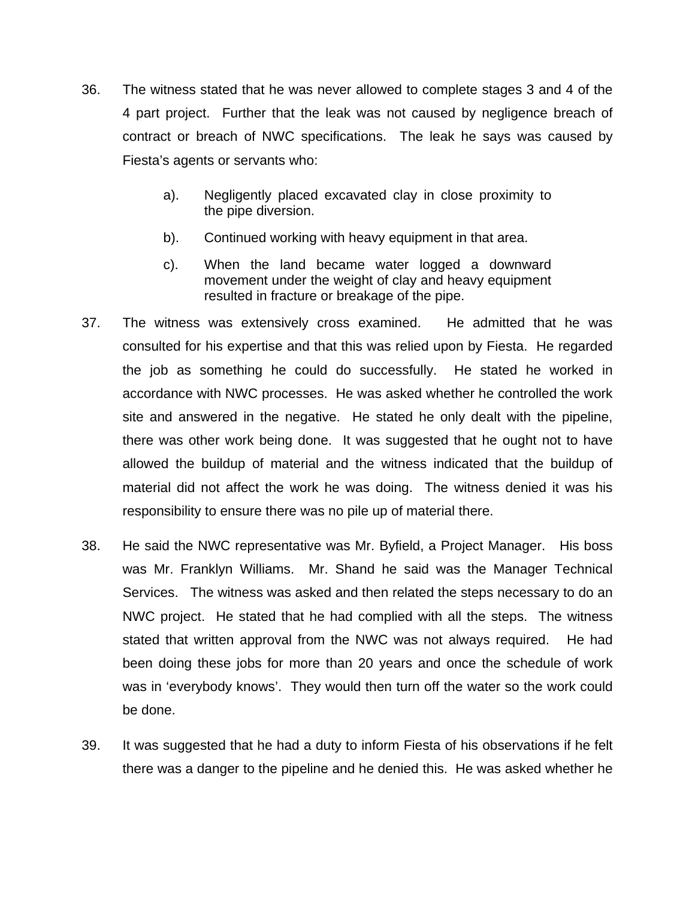- 36. The witness stated that he was never allowed to complete stages 3 and 4 of the 4 part project. Further that the leak was not caused by negligence breach of contract or breach of NWC specifications. The leak he says was caused by Fiesta's agents or servants who:
	- a). Negligently placed excavated clay in close proximity to the pipe diversion.
	- b). Continued working with heavy equipment in that area.
	- c). When the land became water logged a downward movement under the weight of clay and heavy equipment resulted in fracture or breakage of the pipe.
- 37. The witness was extensively cross examined. He admitted that he was consulted for his expertise and that this was relied upon by Fiesta. He regarded the job as something he could do successfully. He stated he worked in accordance with NWC processes. He was asked whether he controlled the work site and answered in the negative. He stated he only dealt with the pipeline, there was other work being done. It was suggested that he ought not to have allowed the buildup of material and the witness indicated that the buildup of material did not affect the work he was doing. The witness denied it was his responsibility to ensure there was no pile up of material there.
- 38. He said the NWC representative was Mr. Byfield, a Project Manager. His boss was Mr. Franklyn Williams. Mr. Shand he said was the Manager Technical Services. The witness was asked and then related the steps necessary to do an NWC project. He stated that he had complied with all the steps. The witness stated that written approval from the NWC was not always required. He had been doing these jobs for more than 20 years and once the schedule of work was in 'everybody knows'. They would then turn off the water so the work could be done.
- 39. It was suggested that he had a duty to inform Fiesta of his observations if he felt there was a danger to the pipeline and he denied this. He was asked whether he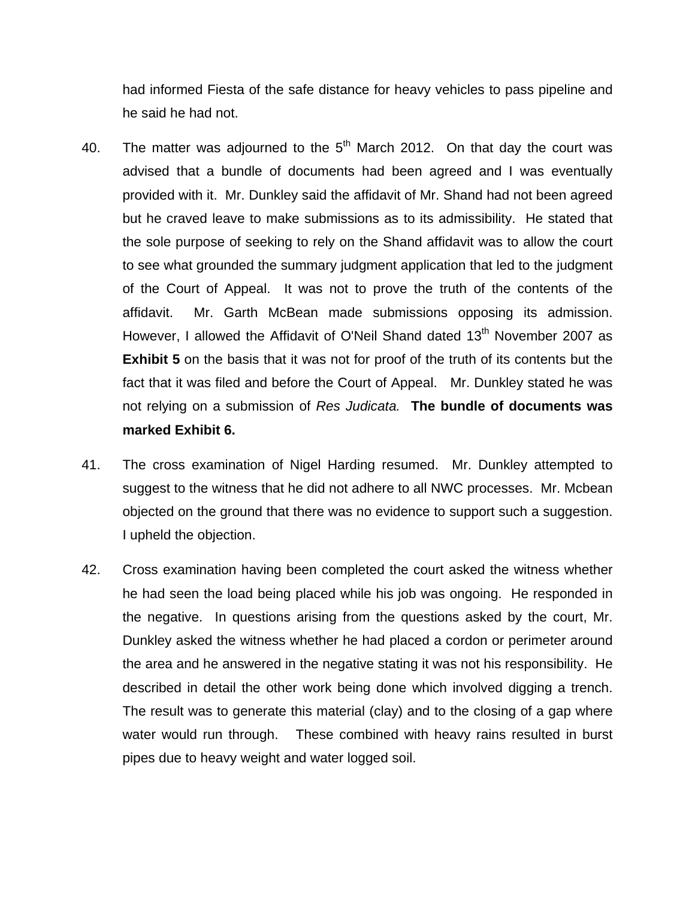had informed Fiesta of the safe distance for heavy vehicles to pass pipeline and he said he had not.

- 40. The matter was adjourned to the  $5<sup>th</sup>$  March 2012. On that day the court was advised that a bundle of documents had been agreed and I was eventually provided with it. Mr. Dunkley said the affidavit of Mr. Shand had not been agreed but he craved leave to make submissions as to its admissibility. He stated that the sole purpose of seeking to rely on the Shand affidavit was to allow the court to see what grounded the summary judgment application that led to the judgment of the Court of Appeal. It was not to prove the truth of the contents of the affidavit. Mr. Garth McBean made submissions opposing its admission. However, I allowed the Affidavit of O'Neil Shand dated 13<sup>th</sup> November 2007 as **Exhibit 5** on the basis that it was not for proof of the truth of its contents but the fact that it was filed and before the Court of Appeal. Mr. Dunkley stated he was not relying on a submission of *Res Judicata.* **The bundle of documents was marked Exhibit 6.**
- 41. The cross examination of Nigel Harding resumed. Mr. Dunkley attempted to suggest to the witness that he did not adhere to all NWC processes. Mr. Mcbean objected on the ground that there was no evidence to support such a suggestion. I upheld the objection.
- 42. Cross examination having been completed the court asked the witness whether he had seen the load being placed while his job was ongoing. He responded in the negative. In questions arising from the questions asked by the court, Mr. Dunkley asked the witness whether he had placed a cordon or perimeter around the area and he answered in the negative stating it was not his responsibility. He described in detail the other work being done which involved digging a trench. The result was to generate this material (clay) and to the closing of a gap where water would run through. These combined with heavy rains resulted in burst pipes due to heavy weight and water logged soil.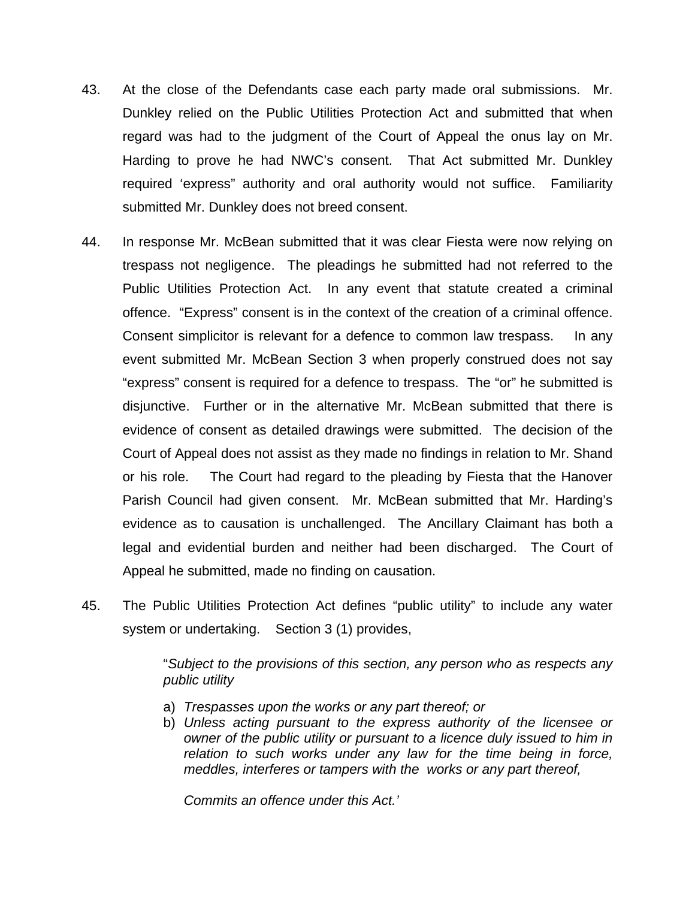- 43. At the close of the Defendants case each party made oral submissions. Mr. Dunkley relied on the Public Utilities Protection Act and submitted that when regard was had to the judgment of the Court of Appeal the onus lay on Mr. Harding to prove he had NWC's consent. That Act submitted Mr. Dunkley required 'express" authority and oral authority would not suffice. Familiarity submitted Mr. Dunkley does not breed consent.
- 44. In response Mr. McBean submitted that it was clear Fiesta were now relying on trespass not negligence. The pleadings he submitted had not referred to the Public Utilities Protection Act. In any event that statute created a criminal offence. "Express" consent is in the context of the creation of a criminal offence. Consent simplicitor is relevant for a defence to common law trespass. In any event submitted Mr. McBean Section 3 when properly construed does not say "express" consent is required for a defence to trespass. The "or" he submitted is disjunctive. Further or in the alternative Mr. McBean submitted that there is evidence of consent as detailed drawings were submitted. The decision of the Court of Appeal does not assist as they made no findings in relation to Mr. Shand or his role. The Court had regard to the pleading by Fiesta that the Hanover Parish Council had given consent. Mr. McBean submitted that Mr. Harding's evidence as to causation is unchallenged. The Ancillary Claimant has both a legal and evidential burden and neither had been discharged. The Court of Appeal he submitted, made no finding on causation.
- 45. The Public Utilities Protection Act defines "public utility" to include any water system or undertaking. Section 3 (1) provides,

"*Subject to the provisions of this section, any person who as respects any public utility*

- a) *Trespasses upon the works or any part thereof; or*
- b) *Unless acting pursuant to the express authority of the licensee or owner of the public utility or pursuant to a licence duly issued to him in relation to such works under any law for the time being in force, meddles, interferes or tampers with the works or any part thereof,*

*Commits an offence under this Act.'*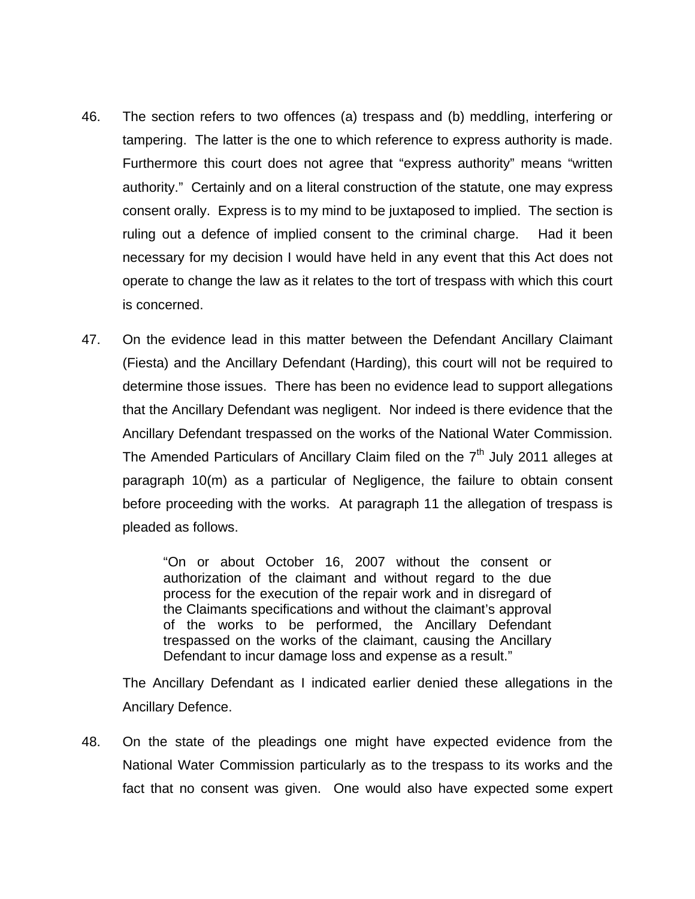- 46. The section refers to two offences (a) trespass and (b) meddling, interfering or tampering. The latter is the one to which reference to express authority is made. Furthermore this court does not agree that "express authority" means "written authority." Certainly and on a literal construction of the statute, one may express consent orally. Express is to my mind to be juxtaposed to implied. The section is ruling out a defence of implied consent to the criminal charge. Had it been necessary for my decision I would have held in any event that this Act does not operate to change the law as it relates to the tort of trespass with which this court is concerned.
- 47. On the evidence lead in this matter between the Defendant Ancillary Claimant (Fiesta) and the Ancillary Defendant (Harding), this court will not be required to determine those issues. There has been no evidence lead to support allegations that the Ancillary Defendant was negligent. Nor indeed is there evidence that the Ancillary Defendant trespassed on the works of the National Water Commission. The Amended Particulars of Ancillary Claim filed on the  $7<sup>th</sup>$  July 2011 alleges at paragraph 10(m) as a particular of Negligence, the failure to obtain consent before proceeding with the works. At paragraph 11 the allegation of trespass is pleaded as follows.

"On or about October 16, 2007 without the consent or authorization of the claimant and without regard to the due process for the execution of the repair work and in disregard of the Claimants specifications and without the claimant's approval of the works to be performed, the Ancillary Defendant trespassed on the works of the claimant, causing the Ancillary Defendant to incur damage loss and expense as a result."

The Ancillary Defendant as I indicated earlier denied these allegations in the Ancillary Defence.

48. On the state of the pleadings one might have expected evidence from the National Water Commission particularly as to the trespass to its works and the fact that no consent was given. One would also have expected some expert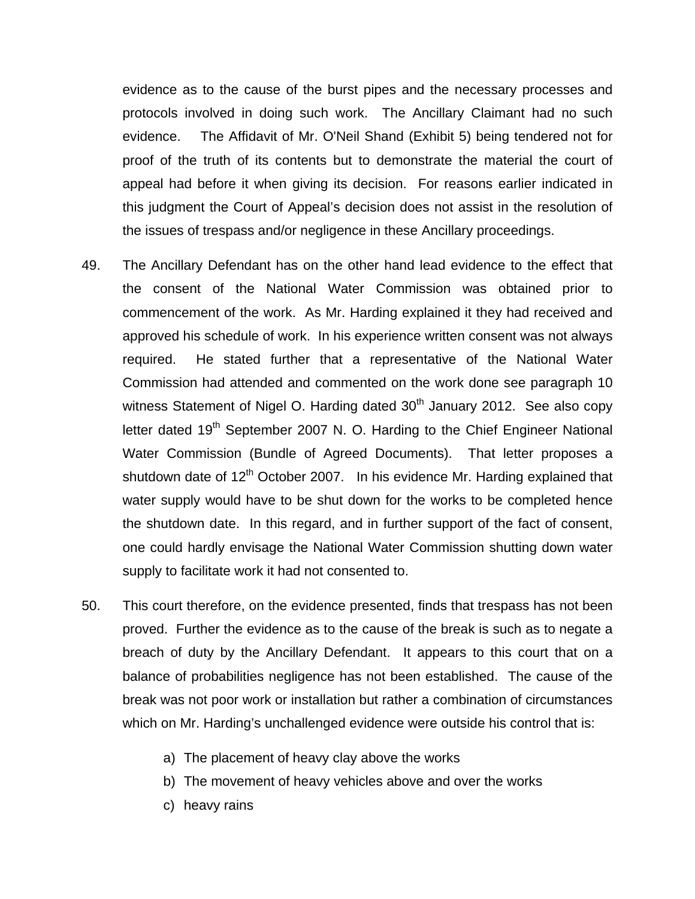evidence as to the cause of the burst pipes and the necessary processes and protocols involved in doing such work. The Ancillary Claimant had no such evidence. The Affidavit of Mr. O'Neil Shand (Exhibit 5) being tendered not for proof of the truth of its contents but to demonstrate the material the court of appeal had before it when giving its decision. For reasons earlier indicated in this judgment the Court of Appeal's decision does not assist in the resolution of the issues of trespass and/or negligence in these Ancillary proceedings.

- 49. The Ancillary Defendant has on the other hand lead evidence to the effect that the consent of the National Water Commission was obtained prior to commencement of the work. As Mr. Harding explained it they had received and approved his schedule of work. In his experience written consent was not always required. He stated further that a representative of the National Water Commission had attended and commented on the work done see paragraph 10 witness Statement of Nigel O. Harding dated  $30<sup>th</sup>$  January 2012. See also copy letter dated  $19<sup>th</sup>$  September 2007 N. O. Harding to the Chief Engineer National Water Commission (Bundle of Agreed Documents). That letter proposes a shutdown date of  $12<sup>th</sup>$  October 2007. In his evidence Mr. Harding explained that water supply would have to be shut down for the works to be completed hence the shutdown date. In this regard, and in further support of the fact of consent, one could hardly envisage the National Water Commission shutting down water supply to facilitate work it had not consented to.
- 50. This court therefore, on the evidence presented, finds that trespass has not been proved. Further the evidence as to the cause of the break is such as to negate a breach of duty by the Ancillary Defendant. It appears to this court that on a balance of probabilities negligence has not been established. The cause of the break was not poor work or installation but rather a combination of circumstances which on Mr. Harding's unchallenged evidence were outside his control that is:
	- a) The placement of heavy clay above the works
	- b) The movement of heavy vehicles above and over the works
	- c) heavy rains